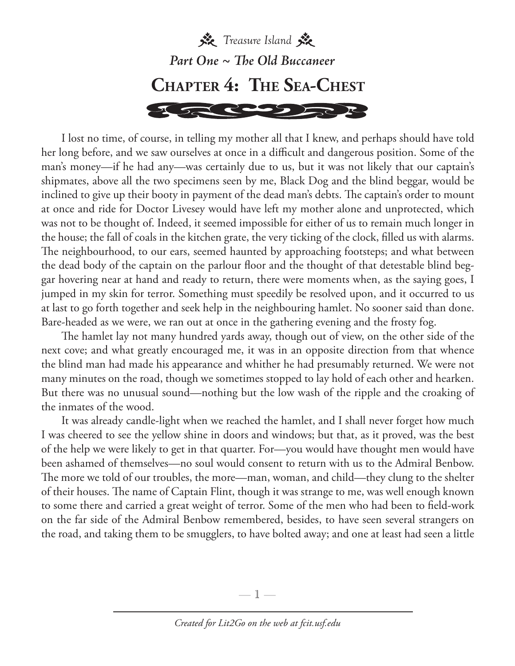

I lost no time, of course, in telling my mother all that I knew, and perhaps should have told her long before, and we saw ourselves at once in a difficult and dangerous position. Some of the man's money—if he had any—was certainly due to us, but it was not likely that our captain's shipmates, above all the two specimens seen by me, Black Dog and the blind beggar, would be inclined to give up their booty in payment of the dead man's debts. The captain's order to mount at once and ride for Doctor Livesey would have left my mother alone and unprotected, which was not to be thought of. Indeed, it seemed impossible for either of us to remain much longer in the house; the fall of coals in the kitchen grate, the very ticking of the clock, filled us with alarms. The neighbourhood, to our ears, seemed haunted by approaching footsteps; and what between the dead body of the captain on the parlour floor and the thought of that detestable blind beggar hovering near at hand and ready to return, there were moments when, as the saying goes, I jumped in my skin for terror. Something must speedily be resolved upon, and it occurred to us at last to go forth together and seek help in the neighbouring hamlet. No sooner said than done. Bare-headed as we were, we ran out at once in the gathering evening and the frosty fog.

The hamlet lay not many hundred yards away, though out of view, on the other side of the next cove; and what greatly encouraged me, it was in an opposite direction from that whence the blind man had made his appearance and whither he had presumably returned. We were not many minutes on the road, though we sometimes stopped to lay hold of each other and hearken. But there was no unusual sound—nothing but the low wash of the ripple and the croaking of the inmates of the wood.

It was already candle-light when we reached the hamlet, and I shall never forget how much I was cheered to see the yellow shine in doors and windows; but that, as it proved, was the best of the help we were likely to get in that quarter. For—you would have thought men would have been ashamed of themselves—no soul would consent to return with us to the Admiral Benbow. The more we told of our troubles, the more—man, woman, and child—they clung to the shelter of their houses. The name of Captain Flint, though it was strange to me, was well enough known to some there and carried a great weight of terror. Some of the men who had been to field-work on the far side of the Admiral Benbow remembered, besides, to have seen several strangers on the road, and taking them to be smugglers, to have bolted away; and one at least had seen a little

—  $\mathbb{I}$  —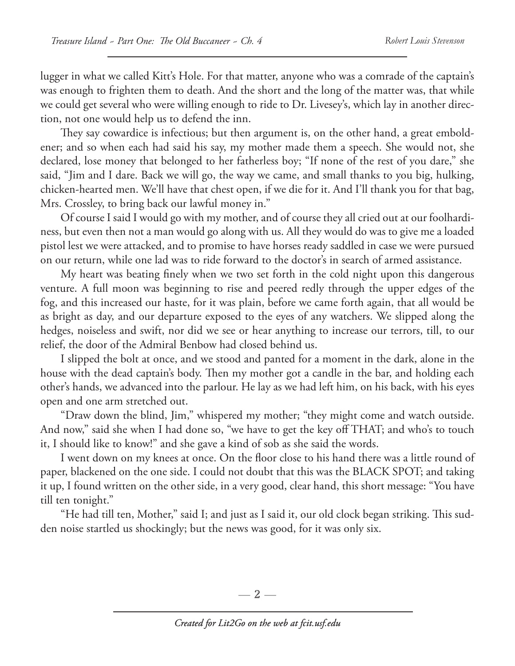lugger in what we called Kitt's Hole. For that matter, anyone who was a comrade of the captain's was enough to frighten them to death. And the short and the long of the matter was, that while we could get several who were willing enough to ride to Dr. Livesey's, which lay in another direction, not one would help us to defend the inn.

They say cowardice is infectious; but then argument is, on the other hand, a great emboldener; and so when each had said his say, my mother made them a speech. She would not, she declared, lose money that belonged to her fatherless boy; "If none of the rest of you dare," she said, "Jim and I dare. Back we will go, the way we came, and small thanks to you big, hulking, chicken-hearted men. We'll have that chest open, if we die for it. And I'll thank you for that bag, Mrs. Crossley, to bring back our lawful money in."

Of course I said I would go with my mother, and of course they all cried out at our foolhardiness, but even then not a man would go along with us. All they would do was to give me a loaded pistol lest we were attacked, and to promise to have horses ready saddled in case we were pursued on our return, while one lad was to ride forward to the doctor's in search of armed assistance.

My heart was beating finely when we two set forth in the cold night upon this dangerous venture. A full moon was beginning to rise and peered redly through the upper edges of the fog, and this increased our haste, for it was plain, before we came forth again, that all would be as bright as day, and our departure exposed to the eyes of any watchers. We slipped along the hedges, noiseless and swift, nor did we see or hear anything to increase our terrors, till, to our relief, the door of the Admiral Benbow had closed behind us.

I slipped the bolt at once, and we stood and panted for a moment in the dark, alone in the house with the dead captain's body. Then my mother got a candle in the bar, and holding each other's hands, we advanced into the parlour. He lay as we had left him, on his back, with his eyes open and one arm stretched out.

"Draw down the blind, Jim," whispered my mother; "they might come and watch outside. And now," said she when I had done so, "we have to get the key off THAT; and who's to touch it, I should like to know!" and she gave a kind of sob as she said the words.

I went down on my knees at once. On the floor close to his hand there was a little round of paper, blackened on the one side. I could not doubt that this was the BLACK SPOT; and taking it up, I found written on the other side, in a very good, clear hand, this short message: "You have till ten tonight."

"He had till ten, Mother," said I; and just as I said it, our old clock began striking. This sudden noise startled us shockingly; but the news was good, for it was only six.

— 2 —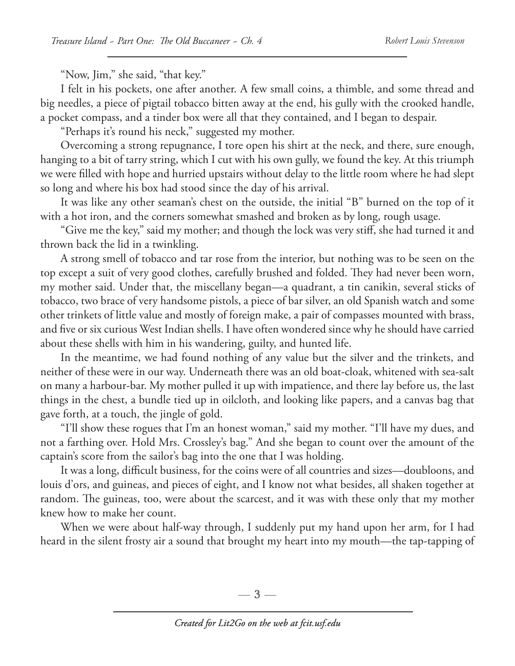"Now, Jim," she said, "that key."

I felt in his pockets, one after another. A few small coins, a thimble, and some thread and big needles, a piece of pigtail tobacco bitten away at the end, his gully with the crooked handle, a pocket compass, and a tinder box were all that they contained, and I began to despair.

"Perhaps it's round his neck," suggested my mother.

Overcoming a strong repugnance, I tore open his shirt at the neck, and there, sure enough, hanging to a bit of tarry string, which I cut with his own gully, we found the key. At this triumph we were filled with hope and hurried upstairs without delay to the little room where he had slept so long and where his box had stood since the day of his arrival.

It was like any other seaman's chest on the outside, the initial "B" burned on the top of it with a hot iron, and the corners somewhat smashed and broken as by long, rough usage.

"Give me the key," said my mother; and though the lock was very stiff, she had turned it and thrown back the lid in a twinkling.

A strong smell of tobacco and tar rose from the interior, but nothing was to be seen on the top except a suit of very good clothes, carefully brushed and folded. They had never been worn, my mother said. Under that, the miscellany began—a quadrant, a tin canikin, several sticks of tobacco, two brace of very handsome pistols, a piece of bar silver, an old Spanish watch and some other trinkets of little value and mostly of foreign make, a pair of compasses mounted with brass, and five or six curious West Indian shells. I have often wondered since why he should have carried about these shells with him in his wandering, guilty, and hunted life.

In the meantime, we had found nothing of any value but the silver and the trinkets, and neither of these were in our way. Underneath there was an old boat-cloak, whitened with sea-salt on many a harbour-bar. My mother pulled it up with impatience, and there lay before us, the last things in the chest, a bundle tied up in oilcloth, and looking like papers, and a canvas bag that gave forth, at a touch, the jingle of gold.

"I'll show these rogues that I'm an honest woman," said my mother. "I'll have my dues, and not a farthing over. Hold Mrs. Crossley's bag." And she began to count over the amount of the captain's score from the sailor's bag into the one that I was holding.

It was a long, difficult business, for the coins were of all countries and sizes—doubloons, and louis d'ors, and guineas, and pieces of eight, and I know not what besides, all shaken together at random. The guineas, too, were about the scarcest, and it was with these only that my mother knew how to make her count.

When we were about half-way through, I suddenly put my hand upon her arm, for I had heard in the silent frosty air a sound that brought my heart into my mouth—the tap-tapping of

 $-3-$